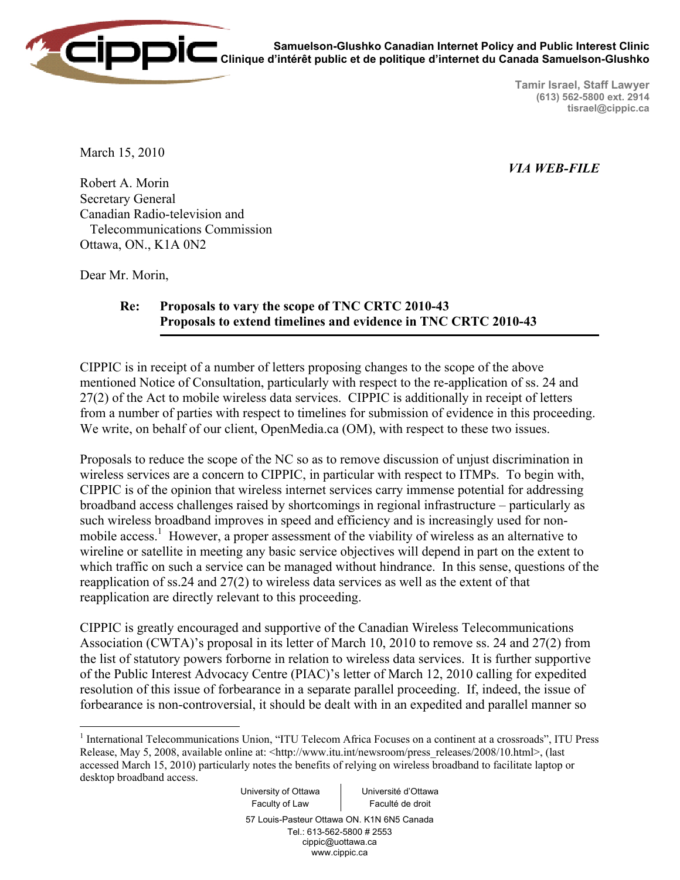

**Samuelson-Glushko Canadian Internet Policy and Public Interest Clinic Clinique d'intérêt public et de politique d'internet du Canada Samuelson-Glushko** 

> **Tamir Israel, Staff Lawyer (613) 562-5800 ext. 2914 tisrael@cippic.ca**

March 15, 2010

*VIA WEB-FILE* 

Robert A. Morin Secretary General Canadian Radio-television and Telecommunications Commission Ottawa, ON., K1A 0N2

Dear Mr. Morin,

 $\overline{a}$ 

## **Re: Proposals to vary the scope of TNC CRTC 2010-43 Proposals to extend timelines and evidence in TNC CRTC 2010-43**

CIPPIC is in receipt of a number of letters proposing changes to the scope of the above mentioned Notice of Consultation, particularly with respect to the re-application of ss. 24 and 27(2) of the Act to mobile wireless data services. CIPPIC is additionally in receipt of letters from a number of parties with respect to timelines for submission of evidence in this proceeding. We write, on behalf of our client, OpenMedia.ca (OM), with respect to these two issues.

Proposals to reduce the scope of the NC so as to remove discussion of unjust discrimination in wireless services are a concern to CIPPIC, in particular with respect to ITMPs. To begin with, CIPPIC is of the opinion that wireless internet services carry immense potential for addressing broadband access challenges raised by shortcomings in regional infrastructure – particularly as such wireless broadband improves in speed and efficiency and is increasingly used for nonmobile access.<sup>1</sup> However, a proper assessment of the viability of wireless as an alternative to wireline or satellite in meeting any basic service objectives will depend in part on the extent to which traffic on such a service can be managed without hindrance. In this sense, questions of the reapplication of ss.24 and 27(2) to wireless data services as well as the extent of that reapplication are directly relevant to this proceeding.

CIPPIC is greatly encouraged and supportive of the Canadian Wireless Telecommunications Association (CWTA)'s proposal in its letter of March 10, 2010 to remove ss. 24 and 27(2) from the list of statutory powers forborne in relation to wireless data services. It is further supportive of the Public Interest Advocacy Centre (PIAC)'s letter of March 12, 2010 calling for expedited resolution of this issue of forbearance in a separate parallel proceeding. If, indeed, the issue of forbearance is non-controversial, it should be dealt with in an expedited and parallel manner so

University of Ottawa Faculty of Law Université d'Ottawa Faculté de droit 57 Louis-Pasteur Ottawa ON. K1N 6N5 Canada Tel.: 613-562-5800 # 2553 cippic@uottawa.ca www.cippic.ca

<sup>&</sup>lt;sup>1</sup> International Telecommunications Union, "ITU Telecom Africa Focuses on a continent at a crossroads", ITU Press Release, May 5, 2008, available online at: <http://www.itu.int/newsroom/press\_releases/2008/10.html>, (last accessed March 15, 2010) particularly notes the benefits of relying on wireless broadband to facilitate laptop or desktop broadband access.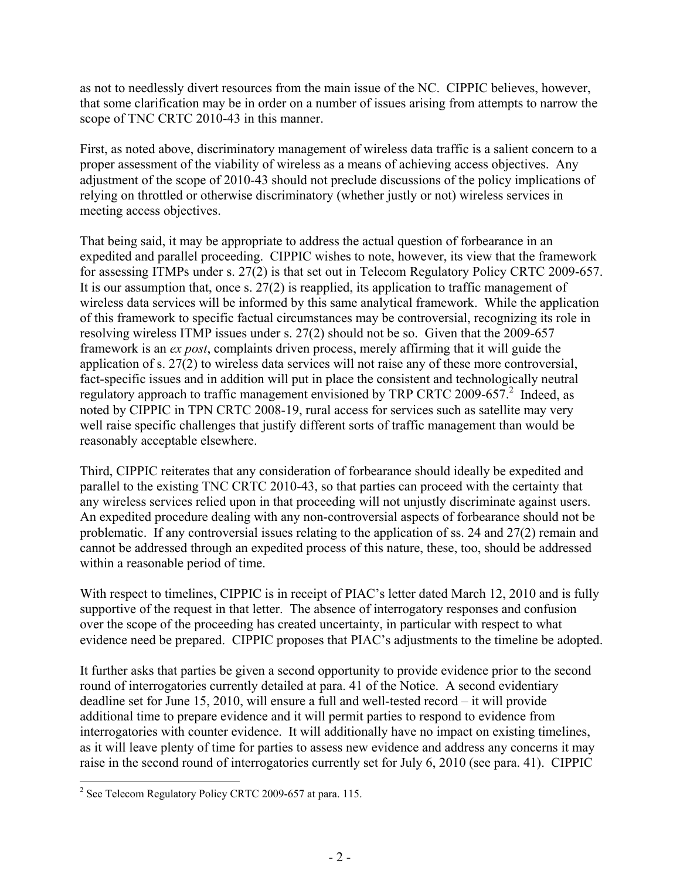as not to needlessly divert resources from the main issue of the NC. CIPPIC believes, however, that some clarification may be in order on a number of issues arising from attempts to narrow the scope of TNC CRTC 2010-43 in this manner.

First, as noted above, discriminatory management of wireless data traffic is a salient concern to a proper assessment of the viability of wireless as a means of achieving access objectives. Any adjustment of the scope of 2010-43 should not preclude discussions of the policy implications of relying on throttled or otherwise discriminatory (whether justly or not) wireless services in meeting access objectives.

That being said, it may be appropriate to address the actual question of forbearance in an expedited and parallel proceeding. CIPPIC wishes to note, however, its view that the framework for assessing ITMPs under s. 27(2) is that set out in Telecom Regulatory Policy CRTC 2009-657. It is our assumption that, once s. 27(2) is reapplied, its application to traffic management of wireless data services will be informed by this same analytical framework. While the application of this framework to specific factual circumstances may be controversial, recognizing its role in resolving wireless ITMP issues under s. 27(2) should not be so. Given that the 2009-657 framework is an *ex post*, complaints driven process, merely affirming that it will guide the application of s. 27(2) to wireless data services will not raise any of these more controversial, fact-specific issues and in addition will put in place the consistent and technologically neutral regulatory approach to traffic management envisioned by TRP CRTC 2009-657. $^2$  Indeed, as noted by CIPPIC in TPN CRTC 2008-19, rural access for services such as satellite may very well raise specific challenges that justify different sorts of traffic management than would be reasonably acceptable elsewhere.

Third, CIPPIC reiterates that any consideration of forbearance should ideally be expedited and parallel to the existing TNC CRTC 2010-43, so that parties can proceed with the certainty that any wireless services relied upon in that proceeding will not unjustly discriminate against users. An expedited procedure dealing with any non-controversial aspects of forbearance should not be problematic. If any controversial issues relating to the application of ss. 24 and 27(2) remain and cannot be addressed through an expedited process of this nature, these, too, should be addressed within a reasonable period of time.

With respect to timelines, CIPPIC is in receipt of PIAC's letter dated March 12, 2010 and is fully supportive of the request in that letter. The absence of interrogatory responses and confusion over the scope of the proceeding has created uncertainty, in particular with respect to what evidence need be prepared. CIPPIC proposes that PIAC's adjustments to the timeline be adopted.

It further asks that parties be given a second opportunity to provide evidence prior to the second round of interrogatories currently detailed at para. 41 of the Notice. A second evidentiary deadline set for June 15, 2010, will ensure a full and well-tested record – it will provide additional time to prepare evidence and it will permit parties to respond to evidence from interrogatories with counter evidence. It will additionally have no impact on existing timelines, as it will leave plenty of time for parties to assess new evidence and address any concerns it may raise in the second round of interrogatories currently set for July 6, 2010 (see para. 41). CIPPIC

<sup>&</sup>lt;sup>2</sup> See Telecom Regulatory Policy CRTC 2009-657 at para. 115.